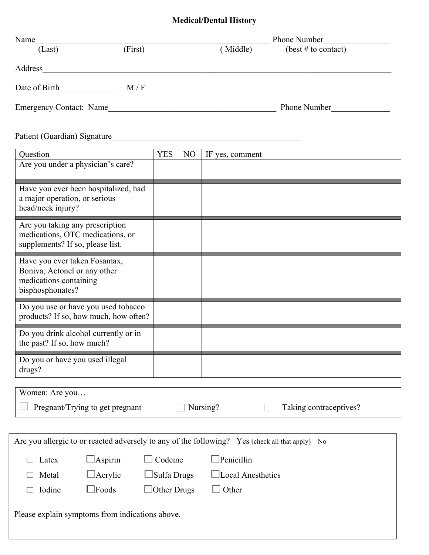## **Medical/Dental History**

| Name                           |         |         | Phone Number                          |
|--------------------------------|---------|---------|---------------------------------------|
| (Last)                         | (First) | Middle) | $(\text{best} \# \text{ to contact})$ |
| Address                        |         |         |                                       |
| Date of Birth                  | M/F     |         |                                       |
| <b>Emergency Contact: Name</b> |         |         | <b>Phone Number</b>                   |

Patient (Guardian) Signature\_\_\_\_\_\_\_\_\_\_\_\_\_\_\_\_\_\_\_\_\_\_\_\_\_\_\_\_\_\_\_\_\_\_\_\_\_\_\_\_\_\_\_\_\_\_\_\_\_\_\_\_\_\_

| Question                                                                                           | <b>YES</b>         | N <sub>O</sub> | IF yes, comment    |  |  |
|----------------------------------------------------------------------------------------------------|--------------------|----------------|--------------------|--|--|
| Are you under a physician's care?                                                                  |                    |                |                    |  |  |
|                                                                                                    |                    |                |                    |  |  |
| Have you ever been hospitalized, had                                                               |                    |                |                    |  |  |
| a major operation, or serious                                                                      |                    |                |                    |  |  |
| head/neck injury?                                                                                  |                    |                |                    |  |  |
| Are you taking any prescription                                                                    |                    |                |                    |  |  |
| medications, OTC medications, or                                                                   |                    |                |                    |  |  |
| supplements? If so, please list.                                                                   |                    |                |                    |  |  |
| Have you ever taken Fosamax,                                                                       |                    |                |                    |  |  |
| Boniva, Actonel or any other                                                                       |                    |                |                    |  |  |
| medications containing                                                                             |                    |                |                    |  |  |
| bisphosphonates?                                                                                   |                    |                |                    |  |  |
| Do you use or have you used tobacco                                                                |                    |                |                    |  |  |
| products? If so, how much, how often?                                                              |                    |                |                    |  |  |
| Do you drink alcohol currently or in                                                               |                    |                |                    |  |  |
| the past? If so, how much?                                                                         |                    |                |                    |  |  |
| Do you or have you used illegal                                                                    |                    |                |                    |  |  |
| drugs?                                                                                             |                    |                |                    |  |  |
|                                                                                                    |                    |                |                    |  |  |
| Women: Are you                                                                                     |                    |                |                    |  |  |
| Pregnant/Trying to get pregnant<br>Nursing?<br>Taking contraceptives?                              |                    |                |                    |  |  |
|                                                                                                    |                    |                |                    |  |  |
|                                                                                                    |                    |                |                    |  |  |
| Are you allergic to or reacted adversely to any of the following? Yes (check all that apply)<br>No |                    |                |                    |  |  |
| $\Box$ Aspirin $\Box$ Codeine<br>$\Box$ Latex                                                      |                    |                | $\Box$ Penicillin  |  |  |
| $\Box$ Acrylic<br>Metal                                                                            | $\Box$ Sulfa Drugs |                | □Local Anesthetics |  |  |
| $\Box$ Foods<br>Iodine                                                                             | $\Box$ Other Drugs |                | $\Box$ Other       |  |  |
|                                                                                                    |                    |                |                    |  |  |
| Please explain symptoms from indications above.                                                    |                    |                |                    |  |  |